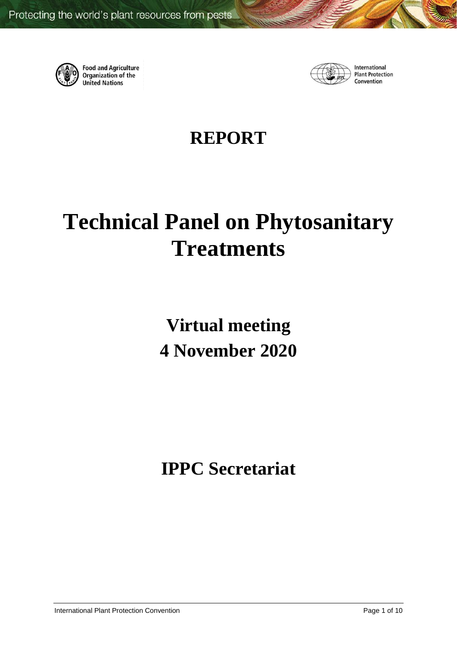

**Food and Agriculture**<br>Organization of the **United Nations** 



International **Plant Protection** Convention

# **REPORT**

# **Technical Panel on Phytosanitary Treatments**

**Virtual meeting 4 November 2020**

**IPPC Secretariat**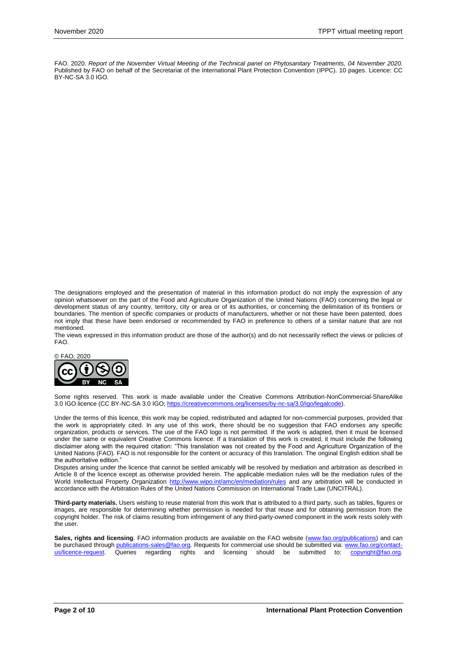FAO. 2020. *Report of the November Virtual Meeting of the Technical panel on Phytosanitary Treatments, 04 November 2020.*  Published by FAO on behalf of the Secretariat of the International Plant Protection Convention (IPPC). 10 pages. Licence: CC BY-NC-SA 3.0 IGO.

The designations employed and the presentation of material in this information product do not imply the expression of any opinion whatsoever on the part of the Food and Agriculture Organization of the United Nations (FAO) concerning the legal or development status of any country, territory, city or area or of its authorities, or concerning the delimitation of its frontiers or boundaries. The mention of specific companies or products of manufacturers, whether or not these have been patented, does not imply that these have been endorsed or recommended by FAO in preference to others of a similar nature that are not mentioned.

The views expressed in this information product are those of the author(s) and do not necessarily reflect the views or policies of FAO.



Some rights reserved. This work is made available under the Creative Commons Attribution-NonCommercial-ShareAlike 3.0 IGO licence (CC BY-NC-SA 3.0 IGO[; https://creativecommons.org/licenses/by-nc-sa/3.0/igo/legalcode\)](https://creativecommons.org/licenses/by-nc-sa/3.0/igo/legalcode).

Under the terms of this licence, this work may be copied, redistributed and adapted for non-commercial purposes, provided that the work is appropriately cited. In any use of this work, there should be no suggestion that FAO endorses any specific organization, products or services. The use of the FAO logo is not permitted. If the work is adapted, then it must be licensed under the same or equivalent Creative Commons licence. If a translation of this work is created, it must include the following disclaimer along with the required citation: "This translation was not created by the Food and Agriculture Organization of the United Nations (FAO). FAO is not responsible for the content or accuracy of this translation. The original English edition shall be the authoritative edition."

Disputes arising under the licence that cannot be settled amicably will be resolved by mediation and arbitration as described in Article 8 of the licence except as otherwise provided herein. The applicable mediation rules will be the mediation rules of the World Intellectual Property Organization<http://www.wipo.int/amc/en/mediation/rules> and any arbitration will be conducted in accordance with the Arbitration Rules of the United Nations Commission on International Trade Law (UNCITRAL).

**Third-party materials.** Users wishing to reuse material from this work that is attributed to a third party, such as tables, figures or images, are responsible for determining whether permission is needed for that reuse and for obtaining permission from the copyright holder. The risk of claims resulting from infringement of any third-party-owned component in the work rests solely with the user.

Sales, rights and licensing. FAO information products are available on the FAO website [\(www.fao.org/publications\)](http://www.fao.org/publications) and can be purchased through [publications-sales@fao.org.](mailto:publications-sales@fao.org) Requests for commercial use should be submitted via: [www.fao.org/contact](http://www.fao.org/contact-us/licence-request)[us/licence-request.](http://www.fao.org/contact-us/licence-request) Queries regarding rights and licensing should be submitted to: [copyright@fao.org.](mailto:copyright@fao.org)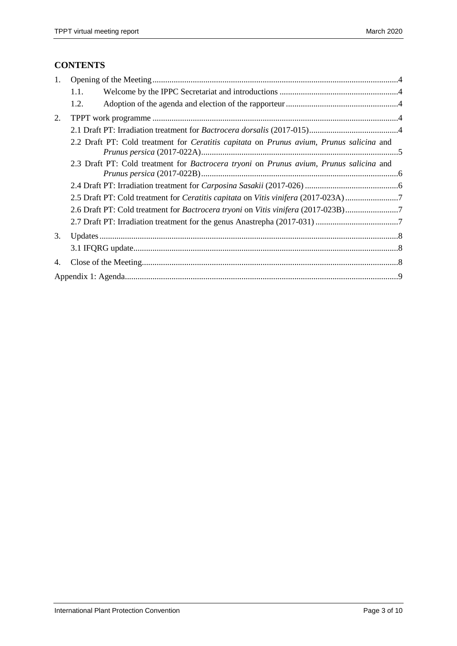# **CONTENTS**

| 1. |                                                                                                                |                                                                                         |  |  |  |  |
|----|----------------------------------------------------------------------------------------------------------------|-----------------------------------------------------------------------------------------|--|--|--|--|
|    | 1.1.                                                                                                           |                                                                                         |  |  |  |  |
|    | 1.2.                                                                                                           |                                                                                         |  |  |  |  |
| 2. |                                                                                                                |                                                                                         |  |  |  |  |
|    |                                                                                                                |                                                                                         |  |  |  |  |
|    | 2.2 Draft PT: Cold treatment for <i>Ceratitis capitata</i> on <i>Prunus avium</i> , <i>Prunus salicina</i> and |                                                                                         |  |  |  |  |
|    |                                                                                                                | 2.3 Draft PT: Cold treatment for Bactrocera tryoni on Prunus avium, Prunus salicina and |  |  |  |  |
|    |                                                                                                                |                                                                                         |  |  |  |  |
|    |                                                                                                                | 2.5 Draft PT: Cold treatment for Ceratitis capitata on Vitis vinifera (2017-023A)7      |  |  |  |  |
|    |                                                                                                                |                                                                                         |  |  |  |  |
|    |                                                                                                                |                                                                                         |  |  |  |  |
| 3. |                                                                                                                |                                                                                         |  |  |  |  |
|    |                                                                                                                |                                                                                         |  |  |  |  |
| 4. |                                                                                                                |                                                                                         |  |  |  |  |
|    |                                                                                                                |                                                                                         |  |  |  |  |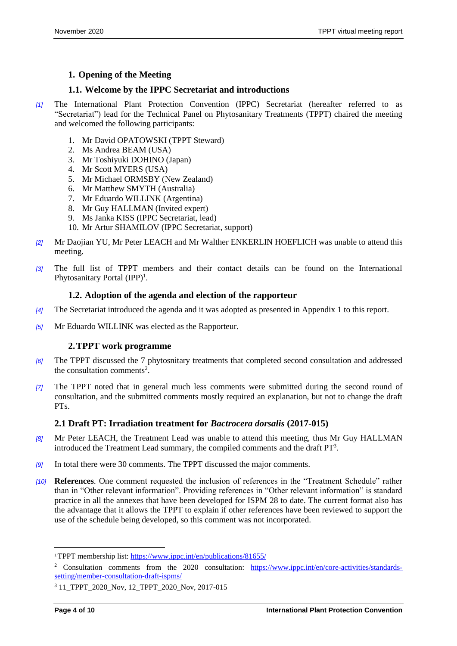### <span id="page-3-0"></span>**1. Opening of the Meeting**

#### <span id="page-3-1"></span>**1.1. Welcome by the IPPC Secretariat and introductions**

- *[1]* The International Plant Protection Convention (IPPC) Secretariat (hereafter referred to as "Secretariat") lead for the Technical Panel on Phytosanitary Treatments (TPPT) chaired the meeting and welcomed the following participants:
	- 1. Mr David OPATOWSKI (TPPT Steward)
	- 2. Ms Andrea BEAM (USA)
	- 3. Mr Toshiyuki DOHINO (Japan)
	- 4. Mr Scott MYERS (USA)
	- 5. Mr Michael ORMSBY (New Zealand)
	- 6. Mr Matthew SMYTH (Australia)
	- 7. Mr Eduardo WILLINK (Argentina)
	- 8. Mr Guy HALLMAN (Invited expert)
	- 9. Ms Janka KISS (IPPC Secretariat, lead)
	- 10. Mr Artur SHAMILOV (IPPC Secretariat, support)
- *[2]* Mr Daojian YU, Mr Peter LEACH and Mr Walther ENKERLIN HOEFLICH was unable to attend this meeting.
- *[3]* The full list of TPPT members and their contact details can be found on the International Phytosanitary Portal (IPP)<sup>1</sup>.

#### <span id="page-3-2"></span>**1.2. Adoption of the agenda and election of the rapporteur**

- *[4]* The Secretariat introduced the agenda and it was adopted as presented in Appendix 1 to this report.
- *[5]* Mr Eduardo WILLINK was elected as the Rapporteur.

#### <span id="page-3-3"></span>**2.TPPT work programme**

- *[6]* The TPPT discussed the 7 phytosnitary treatments that completed second consultation and addressed the consultation comments<sup>2</sup>.
- *[7]* The TPPT noted that in general much less comments were submitted during the second round of consultation, and the submitted comments mostly required an explanation, but not to change the draft PTs.

#### <span id="page-3-4"></span>**2.1 Draft PT: Irradiation treatment for** *Bactrocera dorsalis* **(2017-015)**

- *[8]* Mr Peter LEACH, the Treatment Lead was unable to attend this meeting, thus Mr Guy HALLMAN introduced the Treatment Lead summary, the compiled comments and the draft PT<sup>3</sup>.
- *[9]* In total there were 30 comments. The TPPT discussed the major comments.
- *[10]* **References**. One comment requested the inclusion of references in the "Treatment Schedule" rather than in "Other relevant information". Providing references in "Other relevant information" is standard practice in all the annexes that have been developed for ISPM 28 to date. The current format also has the advantage that it allows the TPPT to explain if other references have been reviewed to support the use of the schedule being developed, so this comment was not incorporated.

 $\overline{a}$ 

<sup>1</sup>TPPT membership list:<https://www.ippc.int/en/publications/81655/>

<sup>&</sup>lt;sup>2</sup> Consultation comments from the 2020 consultation: [https://www.ippc.int/en/core-activities/standards](https://www.ippc.int/en/core-activities/standards-setting/member-consultation-draft-ispms/)[setting/member-consultation-draft-ispms/](https://www.ippc.int/en/core-activities/standards-setting/member-consultation-draft-ispms/)

<sup>3</sup> 11\_TPPT\_2020\_Nov, 12\_TPPT\_2020\_Nov, 2017-015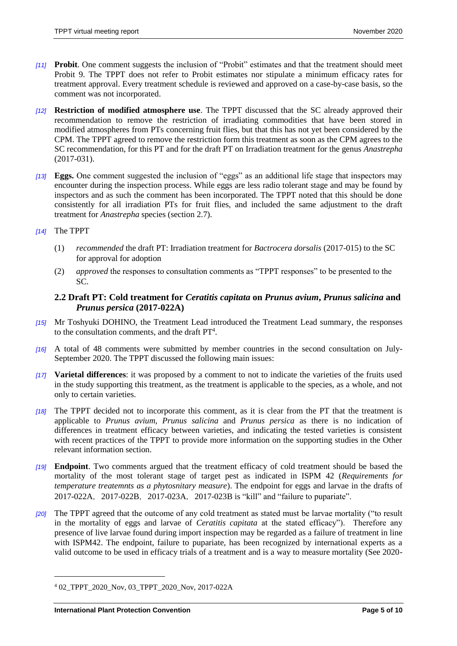- *[11]* **Probit**. One comment suggests the inclusion of "Probit" estimates and that the treatment should meet Probit 9. The TPPT does not refer to Probit estimates nor stipulate a minimum efficacy rates for treatment approval. Every treatment schedule is reviewed and approved on a case-by-case basis, so the comment was not incorporated.
- *[12]* **Restriction of modified atmosphere use**. The TPPT discussed that the SC already approved their recommendation to remove the restriction of irradiating commodities that have been stored in modified atmospheres from PTs concerning fruit flies, but that this has not yet been considered by the CPM. The TPPT agreed to remove the restriction form this treatment as soon as the CPM agrees to the SC recommendation, for this PT and for the draft PT on Irradiation treatment for the genus *Anastrepha* (2017-031).
- *[13]* **Eggs.** One comment suggested the inclusion of "eggs" as an additional life stage that inspectors may encounter during the inspection process. While eggs are less radio tolerant stage and may be found by inspectors and as such the comment has been incorporated. The TPPT noted that this should be done consistently for all irradiation PTs for fruit flies, and included the same adjustment to the draft treatment for *Anastrepha* species (section 2.7).
- *[14]* The TPPT
	- (1) *recommended* the draft PT: Irradiation treatment for *Bactrocera dorsalis* (2017-015) to the SC for approval for adoption
	- (2) *approved* the responses to consultation comments as "TPPT responses" to be presented to the SC.
	- **2.2 Draft PT: Cold treatment for** *Ceratitis capitata* **on** *Prunus avium***,** *Prunus salicina* **and**  *Prunus persica* **(2017-022A)**
- <span id="page-4-0"></span>*[15]* Mr Toshyuki DOHINO, the Treatment Lead introduced the Treatment Lead summary, the responses to the consultation comments, and the draft  $PT<sup>4</sup>$ .
- *[16]* A total of 48 comments were submitted by member countries in the second consultation on July-September 2020. The TPPT discussed the following main issues:
- *[17]* **Varietal differences**: it was proposed by a comment to not to indicate the varieties of the fruits used in the study supporting this treatment, as the treatment is applicable to the species, as a whole, and not only to certain varieties.
- *[18]* The TPPT decided not to incorporate this comment, as it is clear from the PT that the treatment is applicable to *Prunus avium*, *Prunus salicina* and *Prunus persica* as there is no indication of differences in treatment efficacy between varieties, and indicating the tested varieties is consistent with recent practices of the TPPT to provide more information on the supporting studies in the Other relevant information section.
- *[19]* **Endpoint**. Two comments argued that the treatment efficacy of cold treatment should be based the mortality of the most tolerant stage of target pest as indicated in ISPM 42 (*Requirements for temperature treatemnts as a phytosnitary measure*). The endpoint for eggs and larvae in the drafts of 2017-022A, 2017-022B, 2017-023A, 2017-023B is "kill" and "failure to pupariate".
- *[20]* The TPPT agreed that the outcome of any cold treatment as stated must be larvae mortality ("to result in the mortality of eggs and larvae of *Ceratitis capitata* at the stated efficacy"). Therefore any presence of live larvae found during import inspection may be regarded as a failure of treatment in line with ISPM42. The endpoint, failure to pupariate, has been recognized by international experts as a valid outcome to be used in efficacy trials of a treatment and is a way to measure mortality (See 2020-

 $\overline{a}$ 

<sup>4</sup> 02\_TPPT\_2020\_Nov, 03\_TPPT\_2020\_Nov, 2017-022A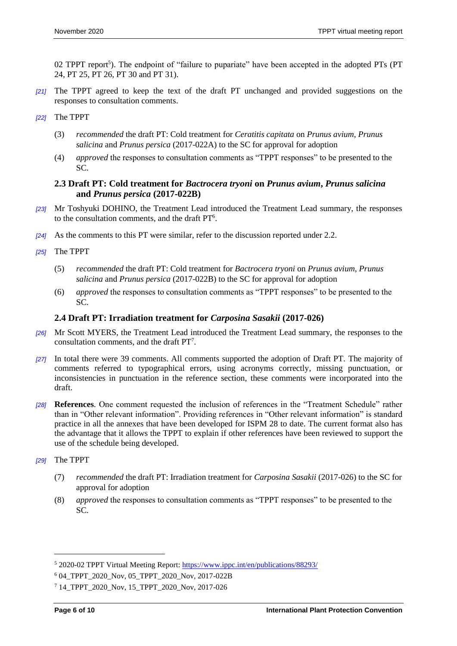02 TPPT report<sup>5</sup>). The endpoint of "failure to pupariate" have been accepted in the adopted PTs (PT 24, PT 25, PT 26, PT 30 and PT 31).

- *[21]* The TPPT agreed to keep the text of the draft PT unchanged and provided suggestions on the responses to consultation comments.
- *[22]* The TPPT
	- (3) *recommended* the draft PT: Cold treatment for *Ceratitis capitata* on *Prunus avium*, *Prunus salicina* and *Prunus persica* (2017-022A) to the SC for approval for adoption
	- (4) *approved* the responses to consultation comments as "TPPT responses" to be presented to the SC.

#### <span id="page-5-0"></span>**2.3 Draft PT: Cold treatment for** *Bactrocera tryoni* **on** *Prunus avium***,** *Prunus salicina*  **and** *Prunus persica* **(2017-022B)**

- *[23]* Mr Toshyuki DOHINO, the Treatment Lead introduced the Treatment Lead summary, the responses to the consultation comments, and the draft  $PT<sup>6</sup>$ .
- *[24]* As the comments to this PT were similar, refer to the discussion reported under 2.2.
- *[25]* The TPPT
	- (5) *recommended* the draft PT: Cold treatment for *Bactrocera tryoni* on *Prunus avium*, *Prunus salicina* and *Prunus persica* (2017-022B) to the SC for approval for adoption
	- (6) *approved* the responses to consultation comments as "TPPT responses" to be presented to the SC.

#### <span id="page-5-1"></span>**2.4 Draft PT: Irradiation treatment for** *Carposina Sasakii* **(2017-026)**

- *[26]* Mr Scott MYERS, the Treatment Lead introduced the Treatment Lead summary, the responses to the consultation comments, and the draft PT<sup>7</sup>.
- *[27]* In total there were 39 comments. All comments supported the adoption of Draft PT. The majority of comments referred to typographical errors, using acronyms correctly, missing punctuation, or inconsistencies in punctuation in the reference section, these comments were incorporated into the draft.
- *[28]* **References**. One comment requested the inclusion of references in the "Treatment Schedule" rather than in "Other relevant information". Providing references in "Other relevant information" is standard practice in all the annexes that have been developed for ISPM 28 to date. The current format also has the advantage that it allows the TPPT to explain if other references have been reviewed to support the use of the schedule being developed.
- *[29]* The TPPT

l

- (7) *recommended* the draft PT: Irradiation treatment for *Carposina Sasakii* (2017-026) to the SC for approval for adoption
- (8) *approved* the responses to consultation comments as "TPPT responses" to be presented to the SC.

<sup>5</sup> 2020-02 TPPT Virtual Meeting Report[: https://www.ippc.int/en/publications/88293/](https://www.ippc.int/en/publications/88293/)

<sup>6</sup> 04\_TPPT\_2020\_Nov, 05\_TPPT\_2020\_Nov, 2017-022B

<sup>7</sup> 14\_TPPT\_2020\_Nov, 15\_TPPT\_2020\_Nov, 2017-026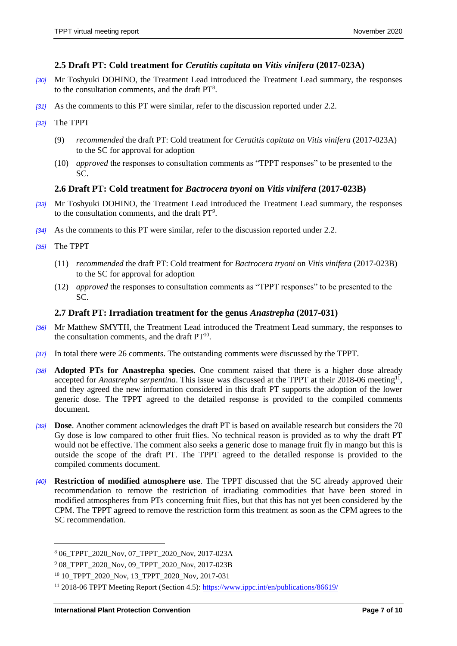#### <span id="page-6-0"></span>**2.5 Draft PT: Cold treatment for** *Ceratitis capitata* **on** *Vitis vinifera* **(2017-023A)**

- *[30]* Mr Toshyuki DOHINO, the Treatment Lead introduced the Treatment Lead summary, the responses to the consultation comments, and the draft PT<sup>8</sup>.
- *[31]* As the comments to this PT were similar, refer to the discussion reported under 2.2.
- *[32]* The TPPT
	- (9) *recommended* the draft PT: Cold treatment for *Ceratitis capitata* on *Vitis vinifera* (2017-023A) to the SC for approval for adoption
	- (10) *approved* the responses to consultation comments as "TPPT responses" to be presented to the SC.

#### <span id="page-6-1"></span>**2.6 Draft PT: Cold treatment for** *Bactrocera tryoni* **on** *Vitis vinifera* **(2017-023B)**

- *[33]* Mr Toshyuki DOHINO, the Treatment Lead introduced the Treatment Lead summary, the responses to the consultation comments, and the draft  $PT<sup>9</sup>$ .
- *[34]* As the comments to this PT were similar, refer to the discussion reported under 2.2.
- *[35]* The TPPT

 $\overline{a}$ 

- (11) *recommended* the draft PT: Cold treatment for *Bactrocera tryoni* on *Vitis vinifera* (2017-023B) to the SC for approval for adoption
- (12) *approved* the responses to consultation comments as "TPPT responses" to be presented to the SC.

#### <span id="page-6-2"></span>**2.7 Draft PT: Irradiation treatment for the genus** *Anastrepha* **(2017-031)**

- *[36]* Mr Matthew SMYTH, the Treatment Lead introduced the Treatment Lead summary, the responses to the consultation comments, and the draft  $PT<sup>10</sup>$ .
- *[37]* In total there were 26 comments. The outstanding comments were discussed by the TPPT.
- *[38]* **Adopted PTs for Anastrepha species**. One comment raised that there is a higher dose already accepted for *Anastrepha serpentina*. This issue was discussed at the TPPT at their 2018-06 meeting<sup>11</sup>, and they agreed the new information considered in this draft PT supports the adoption of the lower generic dose. The TPPT agreed to the detailed response is provided to the compiled comments document.
- *[39]* **Dose**. Another comment acknowledges the draft PT is based on available research but considers the 70 Gy dose is low compared to other fruit flies. No technical reason is provided as to why the draft PT would not be effective. The comment also seeks a generic dose to manage fruit fly in mango but this is outside the scope of the draft PT. The TPPT agreed to the detailed response is provided to the compiled comments document.
- *[40]* **Restriction of modified atmosphere use**. The TPPT discussed that the SC already approved their recommendation to remove the restriction of irradiating commodities that have been stored in modified atmospheres from PTs concerning fruit flies, but that this has not yet been considered by the CPM. The TPPT agreed to remove the restriction form this treatment as soon as the CPM agrees to the SC recommendation.

<sup>8</sup> 06\_TPPT\_2020\_Nov, 07\_TPPT\_2020\_Nov, 2017-023A

<sup>9</sup> 08\_TPPT\_2020\_Nov, 09\_TPPT\_2020\_Nov, 2017-023B

<sup>&</sup>lt;sup>10</sup> 10\_TPPT\_2020\_Nov, 13\_TPPT\_2020\_Nov, 2017-031

<sup>&</sup>lt;sup>11</sup> 2018-06 TPPT Meeting Report (Section 4.5):<https://www.ippc.int/en/publications/86619/>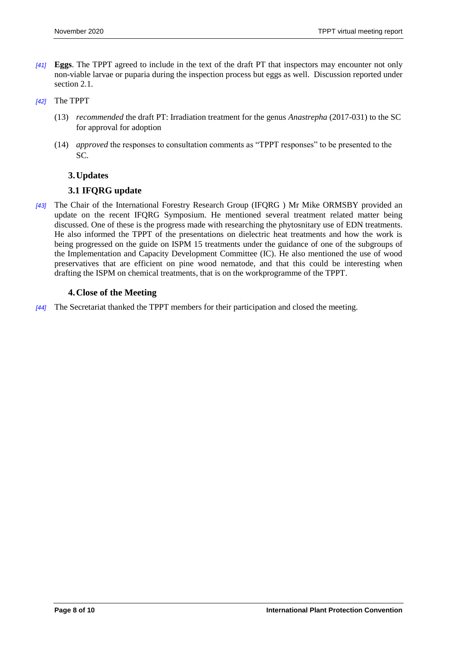- *[41]* **Eggs**. The TPPT agreed to include in the text of the draft PT that inspectors may encounter not only non-viable larvae or puparia during the inspection process but eggs as well. Discussion reported under section 2.1.
- <span id="page-7-0"></span>*[42]* The TPPT
	- (13) *recommended* the draft PT: Irradiation treatment for the genus *Anastrepha* (2017-031) to the SC for approval for adoption
	- (14) *approved* the responses to consultation comments as "TPPT responses" to be presented to the SC.

#### **3.Updates**

#### <span id="page-7-1"></span>**3.1 IFQRG update**

*[43]* The Chair of the International Forestry Research Group (IFQRG ) Mr Mike ORMSBY provided an update on the recent IFQRG Symposium. He mentioned several treatment related matter being discussed. One of these is the progress made with researching the phytosnitary use of EDN treatments. He also informed the TPPT of the presentations on dielectric heat treatments and how the work is being progressed on the guide on ISPM 15 treatments under the guidance of one of the subgroups of the Implementation and Capacity Development Committee (IC). He also mentioned the use of wood preservatives that are efficient on pine wood nematode, and that this could be interesting when drafting the ISPM on chemical treatments, that is on the workprogramme of the TPPT.

#### <span id="page-7-2"></span>**4.Close of the Meeting**

*[44]* The Secretariat thanked the TPPT members for their participation and closed the meeting.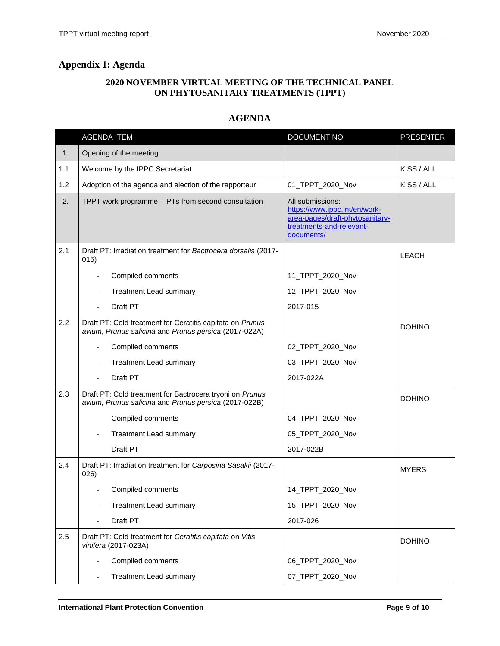#### **2020 NOVEMBER VIRTUAL MEETING OF THE TECHNICAL PANEL ON PHYTOSANITARY TREATMENTS (TPPT)**

# **AGENDA**

<span id="page-8-0"></span>

|     | <b>AGENDA ITEM</b>                                                                                                 | DOCUMENT NO.                                                                                                                   | <b>PRESENTER</b> |
|-----|--------------------------------------------------------------------------------------------------------------------|--------------------------------------------------------------------------------------------------------------------------------|------------------|
| 1.  | Opening of the meeting                                                                                             |                                                                                                                                |                  |
| 1.1 | Welcome by the IPPC Secretariat                                                                                    |                                                                                                                                | KISS / ALL       |
| 1.2 | Adoption of the agenda and election of the rapporteur                                                              | 01_TPPT_2020_Nov                                                                                                               | KISS / ALL       |
| 2.  | TPPT work programme - PTs from second consultation                                                                 | All submissions:<br>https://www.ippc.int/en/work-<br>area-pages/draft-phytosanitary-<br>treatments-and-relevant-<br>documents/ |                  |
| 2.1 | Draft PT: Irradiation treatment for Bactrocera dorsalis (2017-<br>015)                                             |                                                                                                                                | <b>LEACH</b>     |
|     | Compiled comments                                                                                                  | 11_TPPT_2020_Nov                                                                                                               |                  |
|     | Treatment Lead summary                                                                                             | 12_TPPT_2020_Nov                                                                                                               |                  |
|     | Draft PT<br>٠                                                                                                      | 2017-015                                                                                                                       |                  |
| 2.2 | Draft PT: Cold treatment for Ceratitis capitata on Prunus<br>avium, Prunus salicina and Prunus persica (2017-022A) |                                                                                                                                | <b>DOHINO</b>    |
|     | Compiled comments                                                                                                  | 02_TPPT_2020_Nov                                                                                                               |                  |
|     | <b>Treatment Lead summary</b>                                                                                      | 03_TPPT_2020_Nov                                                                                                               |                  |
|     | Draft PT                                                                                                           | 2017-022A                                                                                                                      |                  |
| 2.3 | Draft PT: Cold treatment for Bactrocera tryoni on Prunus<br>avium, Prunus salicina and Prunus persica (2017-022B)  |                                                                                                                                | <b>DOHINO</b>    |
|     | Compiled comments                                                                                                  | 04_TPPT_2020_Nov                                                                                                               |                  |
|     | Treatment Lead summary                                                                                             | 05_TPPT_2020_Nov                                                                                                               |                  |
|     | Draft PT                                                                                                           | 2017-022B                                                                                                                      |                  |
| 2.4 | Draft PT: Irradiation treatment for Carposina Sasakii (2017-<br>026)                                               |                                                                                                                                | <b>MYERS</b>     |
|     | Compiled comments                                                                                                  | 14_TPPT_2020_Nov                                                                                                               |                  |
|     | Treatment Lead summary                                                                                             | 15_TPPT_2020_Nov                                                                                                               |                  |
|     | Draft PT                                                                                                           | 2017-026                                                                                                                       |                  |
| 2.5 | Draft PT: Cold treatment for Ceratitis capitata on Vitis<br>vinifera (2017-023A)                                   |                                                                                                                                | <b>DOHINO</b>    |
|     | Compiled comments                                                                                                  | 06_TPPT_2020_Nov                                                                                                               |                  |
|     | <b>Treatment Lead summary</b>                                                                                      | 07_TPPT_2020_Nov                                                                                                               |                  |